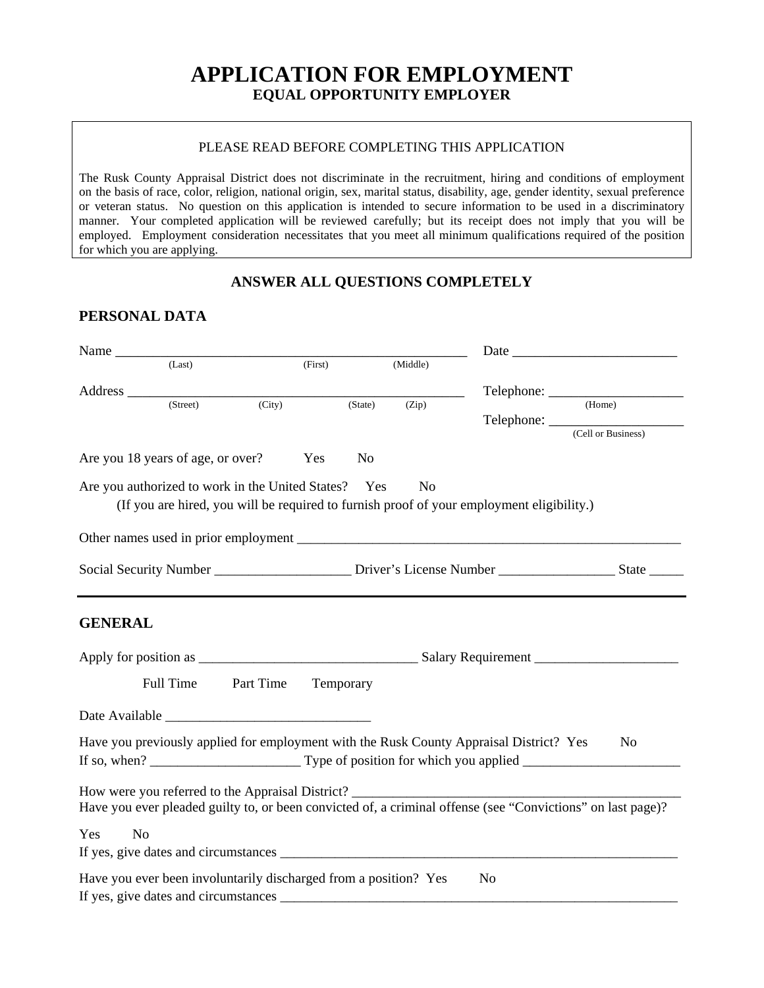# **APPLICATION FOR EMPLOYMENT EQUAL OPPORTUNITY EMPLOYER**

#### PLEASE READ BEFORE COMPLETING THIS APPLICATION

The Rusk County Appraisal District does not discriminate in the recruitment, hiring and conditions of employment on the basis of race, color, religion, national origin, sex, marital status, disability, age, gender identity, sexual preference or veteran status. No question on this application is intended to secure information to be used in a discriminatory manner. Your completed application will be reviewed carefully; but its receipt does not imply that you will be employed. Employment consideration necessitates that you meet all minimum qualifications required of the position for which you are applying.

# **ANSWER ALL QUESTIONS COMPLETELY**

## **PERSONAL DATA**

| Name $\frac{1}{(Last)}$ |                                                                  |           |         |           |                |                                                                                                               |                               |
|-------------------------|------------------------------------------------------------------|-----------|---------|-----------|----------------|---------------------------------------------------------------------------------------------------------------|-------------------------------|
|                         |                                                                  |           | (First) |           | (Middle)       |                                                                                                               |                               |
|                         |                                                                  |           |         |           |                |                                                                                                               |                               |
|                         | (Street)                                                         | (City)    |         | (State)   | (Zip)          |                                                                                                               |                               |
|                         |                                                                  |           |         |           |                |                                                                                                               | Telephone: (Cell or Business) |
|                         | Are you 18 years of age, or over?                                |           | Yes     | No        |                |                                                                                                               |                               |
|                         | Are you authorized to work in the United States? Yes             |           |         |           | N <sub>0</sub> | (If you are hired, you will be required to furnish proof of your employment eligibility.)                     |                               |
|                         |                                                                  |           |         |           |                |                                                                                                               |                               |
|                         |                                                                  |           |         |           |                | Social Security Number _________________________ Driver's License Number _______________________State _______ |                               |
| <b>GENERAL</b>          |                                                                  |           |         |           |                |                                                                                                               |                               |
|                         | Full Time                                                        | Part Time |         | Temporary |                |                                                                                                               |                               |
|                         |                                                                  |           |         |           |                |                                                                                                               |                               |
|                         |                                                                  |           |         |           |                | Have you previously applied for employment with the Rusk County Appraisal District? Yes                       | No                            |
|                         |                                                                  |           |         |           |                | Have you ever pleaded guilty to, or been convicted of, a criminal offense (see "Convictions" on last page)?   |                               |
| Yes<br>No               |                                                                  |           |         |           |                |                                                                                                               |                               |
|                         | Have you ever been involuntarily discharged from a position? Yes |           |         |           |                | N <sub>o</sub>                                                                                                |                               |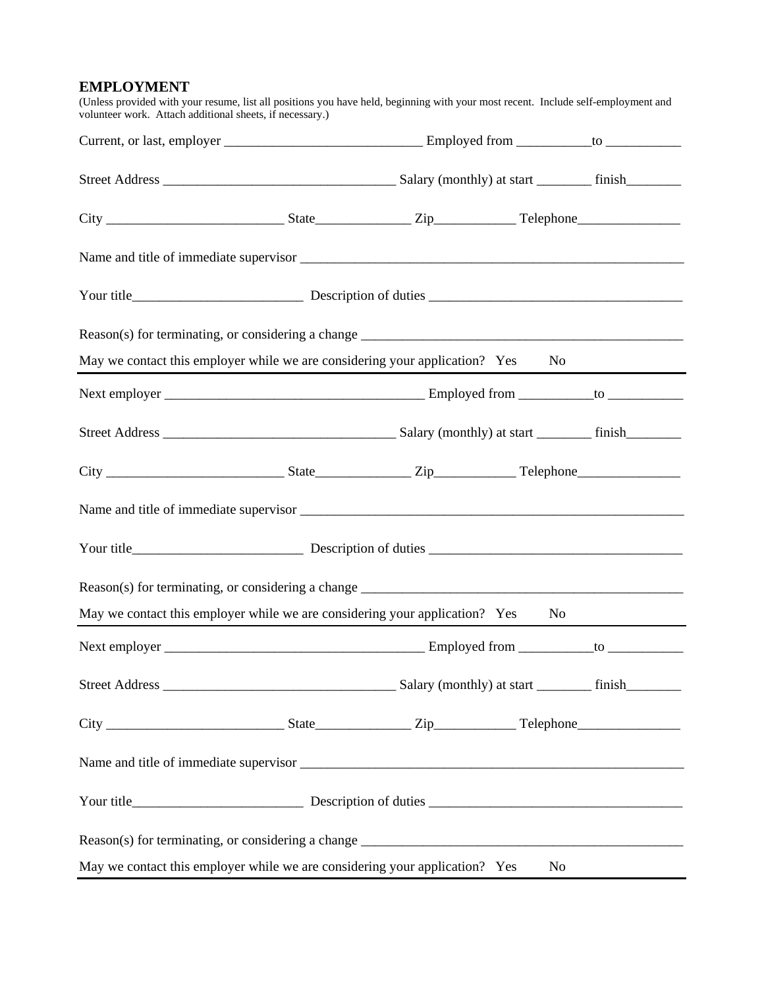#### **EMPLOYMENT**

| May we contact this employer while we are considering your application? Yes       |  | No       |  |
|-----------------------------------------------------------------------------------|--|----------|--|
|                                                                                   |  |          |  |
|                                                                                   |  |          |  |
|                                                                                   |  |          |  |
|                                                                                   |  |          |  |
|                                                                                   |  |          |  |
| Reason(s) for terminating, or considering a change ______________________________ |  |          |  |
| May we contact this employer while we are considering your application? Yes       |  | No       |  |
|                                                                                   |  |          |  |
|                                                                                   |  |          |  |
|                                                                                   |  |          |  |
|                                                                                   |  |          |  |
|                                                                                   |  |          |  |
|                                                                                   |  |          |  |
| May we contact this employer while we are considering your application? Yes       |  | $\rm No$ |  |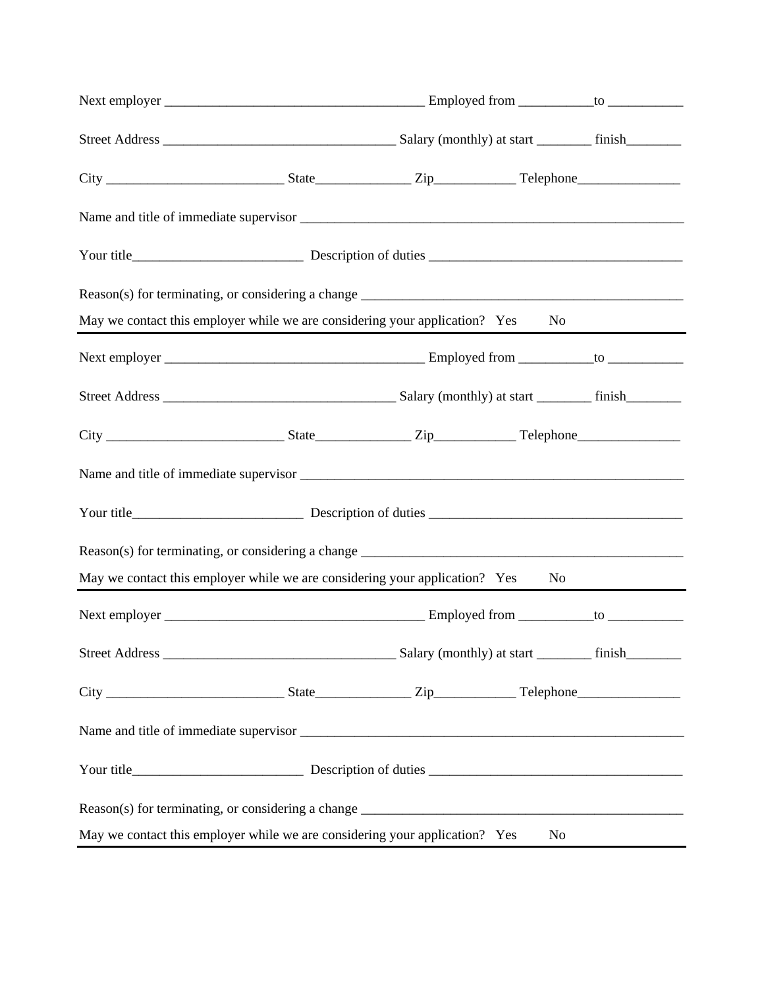|  | May we contact this employer while we are considering your application? Yes<br>No. |  |
|--|------------------------------------------------------------------------------------|--|
|  |                                                                                    |  |
|  |                                                                                    |  |
|  |                                                                                    |  |
|  |                                                                                    |  |
|  |                                                                                    |  |
|  |                                                                                    |  |
|  | May we contact this employer while we are considering your application? Yes No     |  |
|  |                                                                                    |  |
|  |                                                                                    |  |
|  |                                                                                    |  |
|  |                                                                                    |  |
|  |                                                                                    |  |
|  |                                                                                    |  |
|  | May we contact this employer while we are considering your application? Yes<br>No  |  |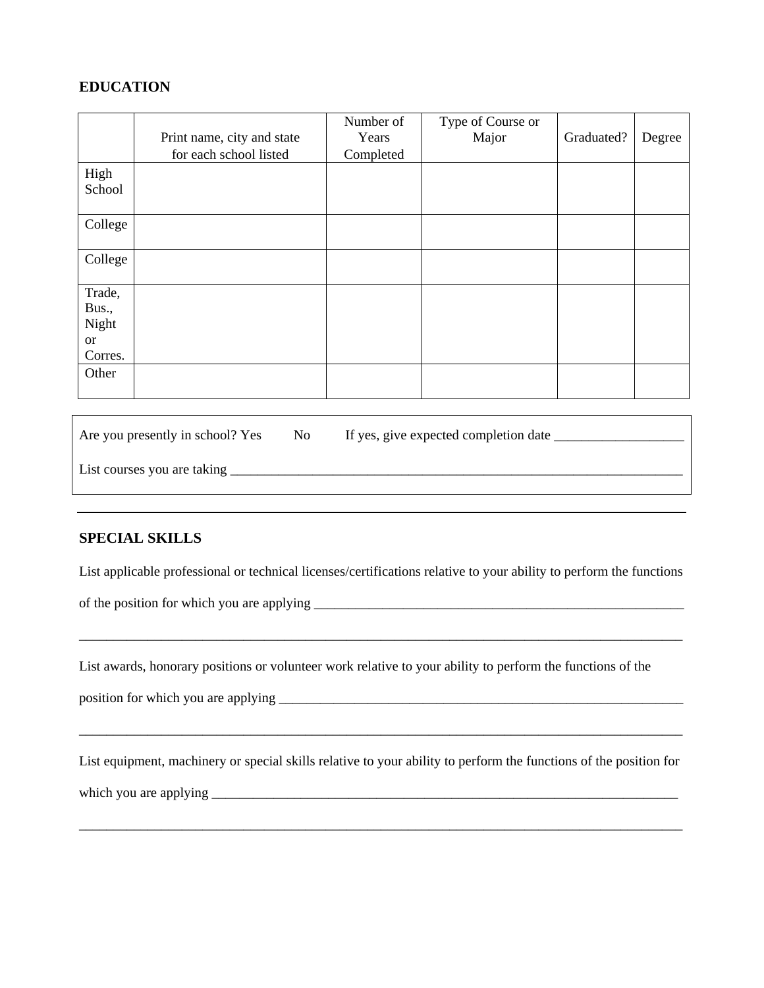#### **EDUCATION**

|           | Print name, city and state | Number of<br>Years | Type of Course or<br>Major | Graduated? | Degree |
|-----------|----------------------------|--------------------|----------------------------|------------|--------|
|           | for each school listed     | Completed          |                            |            |        |
| High      |                            |                    |                            |            |        |
| School    |                            |                    |                            |            |        |
| College   |                            |                    |                            |            |        |
|           |                            |                    |                            |            |        |
| College   |                            |                    |                            |            |        |
|           |                            |                    |                            |            |        |
| Trade,    |                            |                    |                            |            |        |
| Bus.,     |                            |                    |                            |            |        |
| Night     |                            |                    |                            |            |        |
| <b>or</b> |                            |                    |                            |            |        |
| Corres.   |                            |                    |                            |            |        |
| Other     |                            |                    |                            |            |        |
|           |                            |                    |                            |            |        |

| Are you presently in school? Yes | No. | If yes, give expected completion date |
|----------------------------------|-----|---------------------------------------|
| List courses you are taking      |     |                                       |

#### **SPECIAL SKILLS**

List applicable professional or technical licenses/certifications relative to your ability to perform the functions

\_\_\_\_\_\_\_\_\_\_\_\_\_\_\_\_\_\_\_\_\_\_\_\_\_\_\_\_\_\_\_\_\_\_\_\_\_\_\_\_\_\_\_\_\_\_\_\_\_\_\_\_\_\_\_\_\_\_\_\_\_\_\_\_\_\_\_\_\_\_\_\_\_\_\_\_\_\_\_\_\_\_\_\_\_\_\_\_

of the position for which you are applying \_\_\_\_\_\_\_\_\_\_\_\_\_\_\_\_\_\_\_\_\_\_\_\_\_\_\_\_\_\_\_\_\_\_\_\_\_\_\_\_\_\_\_\_\_\_\_\_\_\_\_\_\_\_

List awards, honorary positions or volunteer work relative to your ability to perform the functions of the

position for which you are applying \_\_\_\_\_\_\_\_\_\_\_\_\_\_\_\_\_\_\_\_\_\_\_\_\_\_\_\_\_\_\_\_\_\_\_\_\_\_\_\_\_\_\_\_\_\_\_\_\_\_\_\_\_\_\_\_\_\_\_

List equipment, machinery or special skills relative to your ability to perform the functions of the position for which you are applying \_\_\_\_\_\_\_\_\_\_\_\_\_\_\_\_\_\_\_\_\_\_\_\_\_\_\_\_\_\_\_\_\_\_\_\_\_\_\_\_\_\_\_\_\_\_\_\_\_\_\_\_\_\_\_\_\_\_\_\_\_\_\_\_\_\_\_\_

\_\_\_\_\_\_\_\_\_\_\_\_\_\_\_\_\_\_\_\_\_\_\_\_\_\_\_\_\_\_\_\_\_\_\_\_\_\_\_\_\_\_\_\_\_\_\_\_\_\_\_\_\_\_\_\_\_\_\_\_\_\_\_\_\_\_\_\_\_\_\_\_\_\_\_\_\_\_\_\_\_\_\_\_\_\_\_\_

\_\_\_\_\_\_\_\_\_\_\_\_\_\_\_\_\_\_\_\_\_\_\_\_\_\_\_\_\_\_\_\_\_\_\_\_\_\_\_\_\_\_\_\_\_\_\_\_\_\_\_\_\_\_\_\_\_\_\_\_\_\_\_\_\_\_\_\_\_\_\_\_\_\_\_\_\_\_\_\_\_\_\_\_\_\_\_\_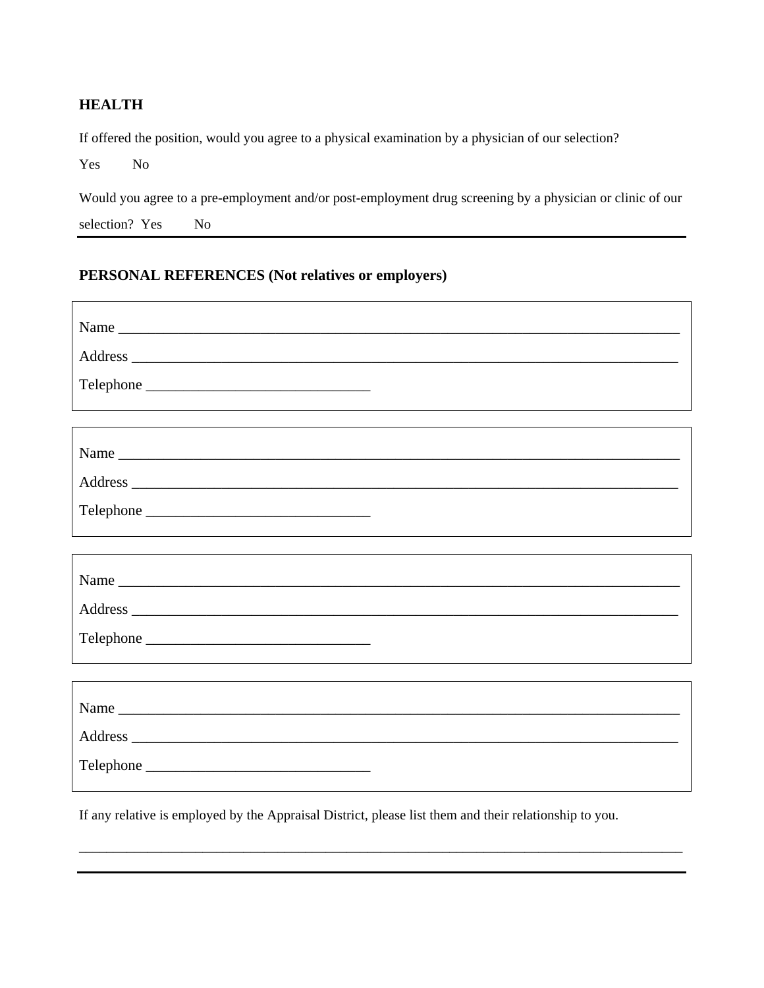### **HEALTH**

If offered the position, would you agree to a physical examination by a physician of our selection?

Yes No

 $\Gamma$ 

Would you agree to a pre-employment and/or post-employment drug screening by a physician or clinic of our selection? Yes No

٦

## **PERSONAL REFERENCES (Not relatives or employers)**

| Name<br>Telephone |
|-------------------|
|                   |
| Name              |
| Name<br>Telephone |

If any relative is employed by the Appraisal District, please list them and their relationship to you.

\_\_\_\_\_\_\_\_\_\_\_\_\_\_\_\_\_\_\_\_\_\_\_\_\_\_\_\_\_\_\_\_\_\_\_\_\_\_\_\_\_\_\_\_\_\_\_\_\_\_\_\_\_\_\_\_\_\_\_\_\_\_\_\_\_\_\_\_\_\_\_\_\_\_\_\_\_\_\_\_\_\_\_\_\_\_\_\_